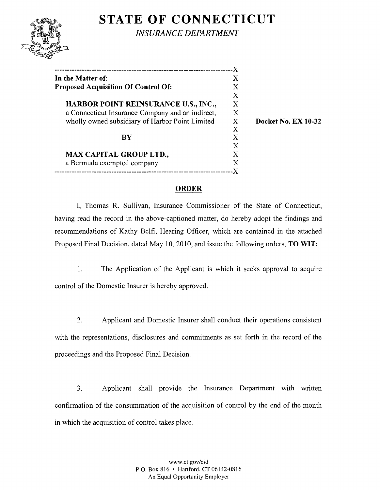# **STATE OF CONNECTICUT**



*INSURANCE DEPARTMENT* 

| -----------------------------                    |                  |
|--------------------------------------------------|------------------|
| In the Matter of:                                | Χ                |
| <b>Proposed Acquisition Of Control Of:</b>       | $\mathbf X$      |
|                                                  | X                |
| HARBOR POINT REINSURANCE U.S., INC.,             | $\boldsymbol{X}$ |
| a Connecticut Insurance Company and an indirect, | X                |
| wholly owned subsidiary of Harbor Point Limited  |                  |
|                                                  | X                |
| $\bf{BV}$                                        | X                |
|                                                  | X                |
| <b>MAX CAPITAL GROUP LTD.,</b>                   | X                |
| a Bermuda exempted company                       | X                |
|                                                  |                  |

Docket No. EX 10-32

## ORDER

I, Thomas R. Sullivan, Insurance Commissioner of the State of Connecticut, having read the record in the above-captioned matter, do hereby adopt the findings and recommendations of Kathy Belfi, Hearing Officer, which are contained in the attached Proposed Final Decision, dated May 10, 2010, and issue the following orders, TO WIT:

1. The Application of the Applicant is which it seeks approval to acquire control of the Domestic Insurer is hereby approved.

2. Applicant and Domestic Insurer shall conduct their operations consistent with the representations, disclosures and commitments as set forth in the record of the proceedings and the Proposed Final Decision.

3. Applicant shall provide the Insurance Department with written confirmation of the consummation of the acquisition of control by the end of the month in which the acquisition of control takes place.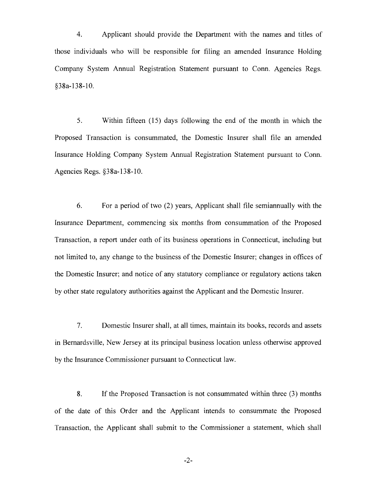4. Applicant should provide the Department with the names and titles of those individuals who will be responsible for filing an amended Insurance Holding Company System Annual Registration Statement pursuant to Conn. Agencies Regs. §38a-138-10.

5. Within fifteen (15) days following the end of the month in which the Proposed Transaction is consummated, the Domestic Insurer shall file an amended Insurance Holding Company System Annual Registration Statement pursuant to Conn. Agencies Regs. §38a-138-10.

6. For a period of two (2) years, Applicant shall file semiannually with the Insurance Department, commencing six months from consummation of the Proposed Transaction, a report under oath of its business operations in Connecticut, including but not limited to, any change to the business of the Domestic Insurer; changes in offices of the Domestic Insurer; and notice of any statutory compliance or regulatory actions taken by other state regulatory authorities against the Applicant and the Domestic Insurer.

7. Domestic Insurer shall, at all times, maintain its books, records and assets in Bernardsville, New Jersey at its principal business location unless otherwise approved by the Insurance Commissioner pursuant to Connecticut law.

8. If the Proposed Transaction is not consummated within three (3) months of the date of this Order and the Applicant intends to consummate the Proposed Transaction, the Applicant shall submit to the Commissioner a statement, which shall

 $-2-$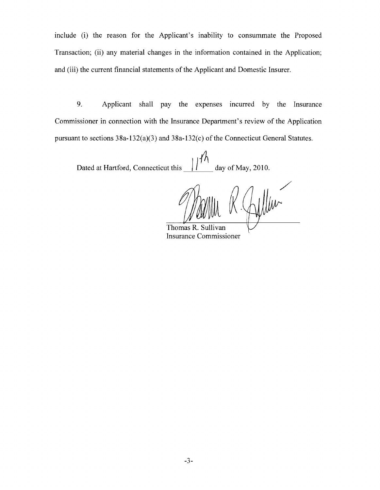include (i) the reason for the Applicant's inability to consummate the Proposed Transaction; (ii) any material changes in the information contained in the Application; and (iii) the current financial statements of the Applicant and Domestic Insurer.

9. Applicant shall pay the expenses incurred by the Insurance Commissioner in connection with the Insurance Department's review of the Application pursuant to sections 38a-132(a)(3) and 38a-132(c) of the Connecticut General Statutes.

Dated at Hartford, Connecticut this  $\frac{1}{4}$  day of May, 2010.

/

Thomas R. Su Insurance Commissioner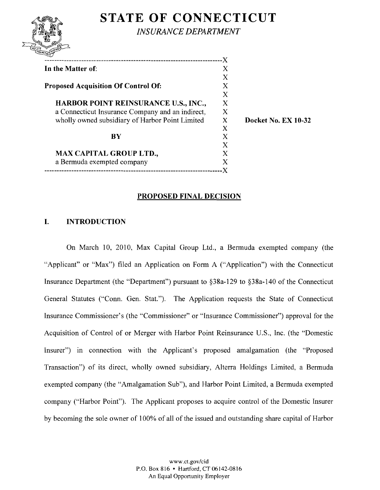## **STATE OF CONNECTICUT**



*INSURANCE DEPARTMENT* 

| In the Matter of:                                | X |
|--------------------------------------------------|---|
|                                                  | X |
| <b>Proposed Acquisition Of Control Of:</b>       | X |
|                                                  | X |
| HARBOR POINT REINSURANCE U.S., INC.,             | X |
| a Connecticut Insurance Company and an indirect, | X |
| wholly owned subsidiary of Harbor Point Limited  | X |
|                                                  | X |
| RY                                               | X |
|                                                  | X |
| <b>MAX CAPITAL GROUP LTD.,</b>                   | X |
| a Bermuda exempted company                       | X |
| --------------------                             |   |
|                                                  |   |

Docket No. EX 10-32

#### PROPOSED FINAL DECISION

#### I. INTRODUCTION

On March 10, 2010, Max Capital Group Ltd., a Bermuda exempted company (the "Applicant" or "Max") filed an Application on Form A ("Application") with the Connecticut Insurance Department (the "Department") pursuant to §38a-129 to §38a-140 of the Connecticut General Statutes ("Conn. Gen. Stat."). The Application requests the State of Connecticut Insurance Commissioner's (the "Commissioner" or "Insurance Commissioner") approval for the Acquisition of Control of or Merger with Harbor Point Reinsurance U.S., Inc. (the "Domestic Insurer") in connection with the Applicant's proposed amalgamation (the "Proposed Transaction") of its direct, wholly owned subsidiary, Alterra Holdings Limited, a Bermuda exempted company (the "Amalgamation Sub"), and Harbor Point Limited, a Bermuda exempted company ("Harbor Point"). The Applicant proposes to acquire control of the Domestic Insurer by becoming the sole owner of 100% of all of the issued and outstanding share capital of Harbor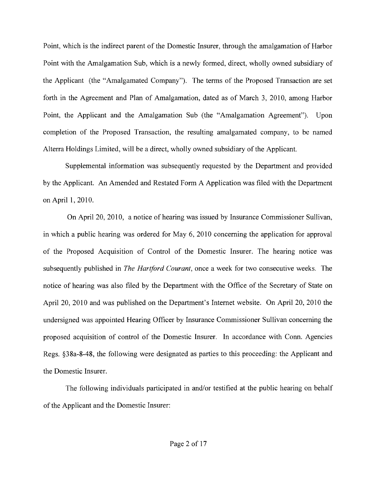Point, which is the indirect parent of the Domestic Insurer, through the amalgamation of Harbor Point with the Amalgamation Sub, which is a newly formed, direct, wholly owned subsidiary of the Applicant (the "Amalgamated Company"). The terms of the Proposed Transaction are set forth in the Agreement and Plan of Amalgamation, dated as of March 3, 2010, among Harbor Point, the Applicant and the Amalgamation Sub (the "Amalgamation Agreement"). Upon completion of the Proposed Transaction, the resulting amalgamated company, to be named Alterra Holdings Limited, will be a direct, wholly owned subsidiary of the Applicant.

Supplemental information was subsequently requested by the Department and provided by the Applicant. An Amended and Restated Form A Application was filed with the Department on April 1,2010.

On April 20, 2010, a notice of hearing was issued by Insurance Commissioner Sullivan, in which a public hearing was ordered for May 6, 2010 concerning the application for approval of the Proposed Acquisition of Control of the Domestic Insurer. The hearing notice was subsequently published in *The Hartford Courant,* once a week for two consecutive weeks. The notice of hearing was also filed by the Department with the Office of the Secretary of State on April 20, 2010 and was published on the Department's Internet website. On April 20, 2010 the undersigned was appointed Hearing Officer by Insurance Commissioner Sullivan concerning the proposed acquisition of control of the Domestic Insurer. In accordance with Conn. Agencies Regs. §38a-8-48, the following were designated as parties to this proceeding: the Applicant and the Domestic Insurer.

The following individuals participated in and/or testified at the public hearing on behalf of the Applicant and the Domestic Insurer: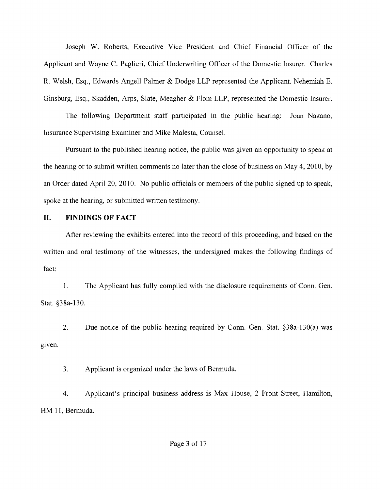Joseph W. Roberts, Executive Vice President and Chief Financial Officer of the Applicant and Wayne C. Paglieri, Chief Underwriting Officer of the Domestic Insurer. Charles R. Welsh, Esq., Edwards Angell Palmer & Dodge LLP represented the Applicant. Nehemiah E. Ginsburg, Esq., Skadden, Arps, Slate, Meagher & Flom LLP, represented the Domestic Insurer.

The following Department staff participated in the public hearing: Joan Nakano, Insurance Supervising Examiner and Mike Malesta, Counsel.

Pursuant to the published hearing notice, the public was given an opportunity to speak at the hearing or to submit written comments no later than the close of business on May 4, 2010, by an Order dated April 20, 2010. No public officials or members of the public signed up to speak, spoke at the hearing, or submitted written testimony.

#### **II. FINDINGS OF FACT**

After reviewing the exhibits entered into the record of this proceeding, and based on the written and oral testimony of the witnesses, the undersigned makes the following findings of fact:

1. The Applicant has fully complied with the disclosure requirements of Conn. Gen. Stat. §38a-130.

2. Due notice of the public hearing required by Conn. Gen. Stat. §38a-130(a) was given.

3. Applicant is organized under the laws of Bermuda.

4. Applicant's principal business address is Max House, 2 Front Street, Hamilton, HM 11, Bermuda.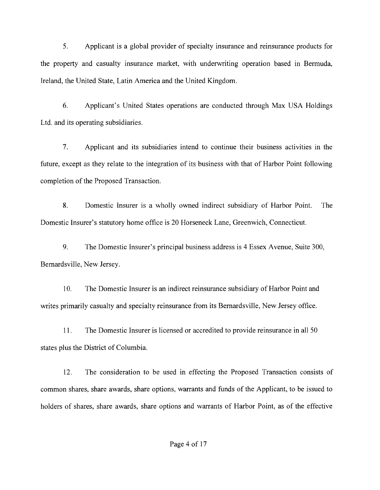5. Applicant is a global provider of specialty insurance and reinsurance products for the property and casualty insurance market, with underwriting operation based in Bermuda. Ireland, the United State, Latin America and the United Kingdom.

6. Applicant's United States operations are conducted through Max USA Holdings Ltd. and its operating subsidiaries.

7. Applicant and its subsidiaries intend to continue their business activities in the future, except as they relate to the integration of its business with that of Harbor Point following completion of the Proposed Transaction.

8. Domestic Insurer is a wholly owned indirect subsidiary of Harbor Point. The Domestic Insurer's statutory home office is 20 Horseneck Lane, Greenwich, Connecticut.

9. The Domestic Insurer's principal business address is 4 Essex Avenue, Suite 300, Bernardsville, New Jersey.

10. The Domestic Insurer is an indirect reinsurance subsidiary of Harbor Point and writes primarily casualty and specialty reinsurance from its Bernardsville, New Jersey office.

11. The Domestic Insurer is licensed or accredited to provide reinsurance in all 50 states plus the District of Columbia.

12. The consideration to be used in effecting the Proposed Transaction consists of common shares, share awards, share options, warrants and funds of the Applicant, to be issued to holders of shares, share awards, share options and warrants of Harbor Point, as of the effective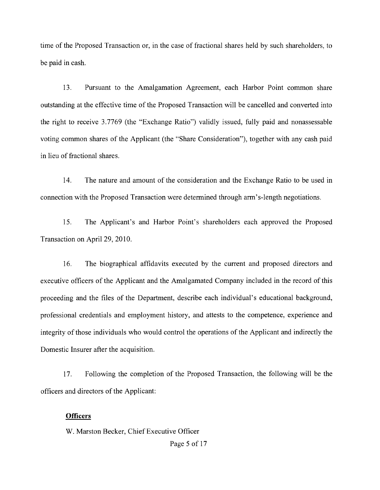time of the Proposed Transaction or, in the case of fractional shares held by such shareholders, to be paid in cash.

13. Pursuant to the Amalgamation Agreement, each Harbor Point common share outstanding at the effective time of the Proposed Transaction will be cancelled and converted into the right to receive 3.7769 (the "Exchange Ratio") validly issued, fully paid and nonassessable voting common shares of the Applicant (the "Share Consideration"), together with any cash paid in lieu of fractional shares.

14. The nature and amount of the consideration and the Exchange Ratio to be used in connection with the Proposed Transaction were determined through arm's-length negotiations.

15. The Applicant's and Harbor Point's shareholders each approved the Proposed Transaction on April 29, 2010.

16. The biographical affidavits executed by the current and proposed directors and executive officers of the Applicant and the Amalgamated Company included in the record of this proceeding and the files of the Department, describe each individual's educational background, professional credentials and employment history, and attests to the competence, experience and integrity of those individuals who would control the operations of the Applicant and indirectly the Domestic Insurer after the acquisition.

17. Following the completion of the Proposed Transaction, the following will be the officers and directors of the Applicant:

#### **Officers**

W. Marston Becker, Chief Executive Officer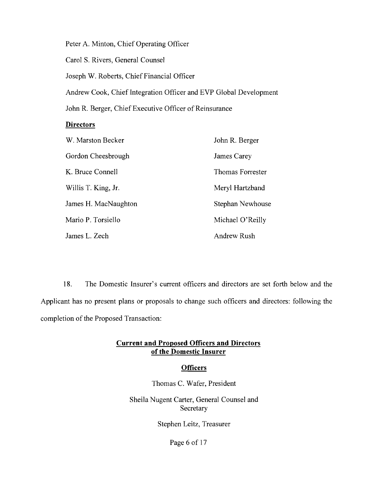Peter A. Minton, Chief Operating Officer

Carol S. Rivers, General Counsel

Joseph W. Roberts, Chief Financial Officer

Andrew Cook, Chief Integration Officer and EVP Global Development

John R. Berger, Chief Executive Officer of Reinsurance

#### **Directors**

| W. Marston Becker    | John R. Berger     |  |
|----------------------|--------------------|--|
| Gordon Cheesbrough   | James Carey        |  |
| K. Bruce Connell     | Thomas Forrester   |  |
| Willis T. King, Jr.  | Meryl Hartzband    |  |
| James H. MacNaughton | Stephan Newhouse   |  |
| Mario P. Torsiello   | Michael O'Reilly   |  |
| James L. Zech        | <b>Andrew Rush</b> |  |

18. The Domestic Insurer's current officers and directors are set forth below and the Applicant has no present plans or proposals to change such officers and directors: following the completion of the Proposed Transaction:

#### **Current and Proposed Officers and Directors of the Domestic Insurer**

#### **Officers**

Thomas C. Wafer, President

Sheila Nugent Carter, General Counsel and Secretary

Stephen Leitz, Treasurer

Page 6 of 17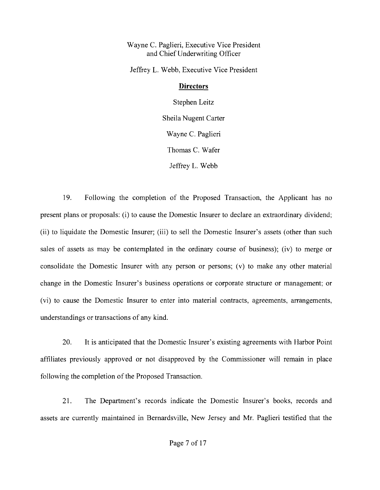Wayne C. Paglieri, Executive Vice President and Chief Underwriting Officer

Jeffrey L. Webb, Executive Vice President

## **Directors**

Stephen Leitz Sheila Nugent Carter Wayne C. Paglieri Thomas C. Wafer Jeffrey L. Webb

19. Following the completion of the Proposed Transaction, the Applicant has no present plans or proposals: (i) to cause the Domestic Insurer to declare an extraordinary dividend; (ii) to liquidate the Domestic Insurer; (iii) to sell the Domestic Insurer's assets (other than such sales of assets as may be contemplated in the ordinary course of business); (iv) to merge or consolidate the Domestic Insurer with any person or persons; (v) to make any other material change in the Domestic Insurer's business operations or corporate structure or management; or (vi) to cause the Domestic Insurer to enter into material contracts, agreements, arrangements, understandings or transactions of any kind.

20. It is anticipated that the Domestic Insurer's existing agreements with Harbor Point affiliates previously approved or not disapproved by the Commissioner will remain in place following the completion of the Proposed Transaction.

21. The Department's records indicate the Domestic Insurer's books, records and assets are currently maintained in Bernardsville, New Jersey and Mr. Paglieri testified that the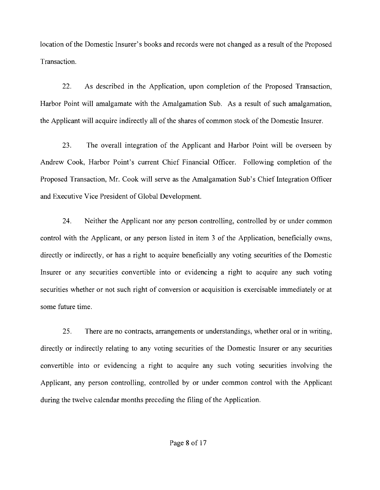location of the Domestic Insurer's books and records were not changed as a result of the Proposed Transaction.

22. As described in the Application, upon completion of the Proposed Transaction, Harbor Point will amalgamate with the Amalgamation Sub. As a result of such amalgamation, the Applicant will acquire indirectly all of the shares of common stock of the Domestic Insurer.

23. The overall integration of the Applicant and Harbor Point will be overseen by Andrew Cook, Harbor Point's current Chief Financial Officer. Following completion of the Proposed Transaction, Mr. Cook will serve as the Amalgamation Sub's Chief Integration Officer and Executive Vice President of Global Development.

24. Neither the Applicant nor any person controlling, controlled by or under common control with the Applicant, or any person listed in item 3 of the Application, beneficially owns, directly or indirectly, or has a right to acquire beneficially any voting securities of the Domestic Insurer or any securities convertible into or evidencing a right to acquire any such voting securities whether or not such right of conversion or acquisition is exercisable immediately or at some future time.

25. There are no contracts, arrangements or understandings, whether oral or in writing, directly or indirectly relating to any voting securities of the Domestic Insurer or any securities convertible into or evidencing a right to acquire any such voting securities involving the Applicant, any person controlling, controlled by or under common control with the Applicant during the twelve calendar months preceding the filing of the Application.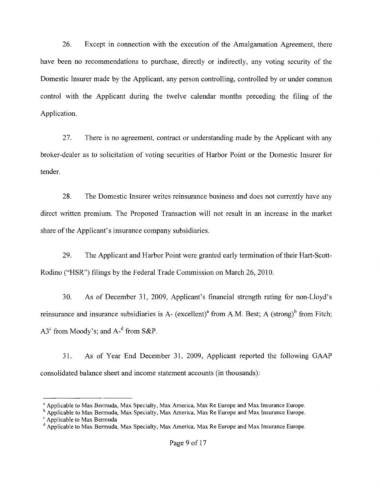26. Except in connection with the execution of the Amalgamation Agreement, there have been no recommendations to purchase, directly or indirectly, any voting security of the Domestic Insurer made by the Applicant, any person controlling, controlled by or under common control with the Applicant during the twelve calendar months preceding the filing of the Application.

27. There is no agreement, contract or understanding made by the Applicant with any broker-dealer as to solicitation of voting securities of Harbor Point or the Domestic Insurer for tender.

28. The Domestic Insurer writes reinsurance business and does not currently have any direct written premium. The Proposed Transaction will not result in an increase in the market share of the Applicant's insurance company subsidiaries.

29. The Applicant and Harbor Point were granted early termination of their Hart-Scott-Rodino ("HSR") filings by the Federal Trade Commission on March 26, 2010.

30. As of December 31, 2009, Applicant's financial strength rating for non-Lloyd's reinsurance and insurance subsidiaries is A- (excellent)<sup>a</sup> from A.M. Best; A (strong)<sup>b</sup> from Fitch;  $A3<sup>c</sup>$  from Moody's; and  $A<sup>d</sup>$  from S&P.

31. As of Year End December 31, 2009, Applicant reported the following GAAP consolidated balance sheet and income statement accounts (in thousands):

<sup>&</sup>lt;sup>a</sup> Applicable to Max Bermuda, Max Specialty, Max America, Max Re Europe and Max Insurance Europe.

<sup>&</sup>lt;sup>b</sup> Applicable to Max Bermuda, Max Specialty, Max America, Max Re Europe and Max Insurance Europe. <sup>c</sup> Applicable to Max Bermuda

<sup>&</sup>lt;sup>d</sup> Applicable to Max Bermuda, Max Specialty, Max America, Max Re Europe and Max Insurance Europe.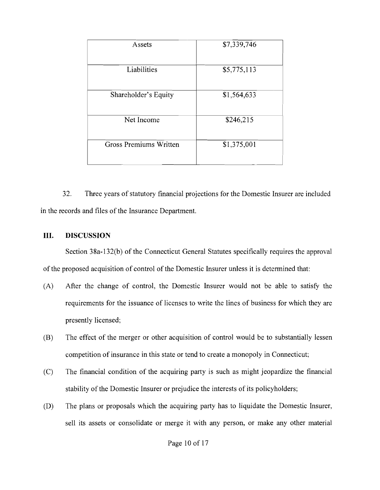| <b>Assets</b>          | \$7,339,746 |
|------------------------|-------------|
| Liabilities            | \$5,775,113 |
| Shareholder's Equity   | \$1,564,633 |
| Net Income             | \$246,215   |
| Gross Premiums Written | \$1,375,001 |

32. Three years of statutory financial projections for the Domestic Insurer are included in the records and files of the Insurance Department.

## **III. DISCUSSION**

Section 38a-132(b) of the Connecticut General Statutes specifically requires the approval of the proposed acquisition of control of the Domestic Insurer unless it is determined that:

- (A) After the change of control, the Domestic Insurer would not be able to satisfy the requirements for the issuance of licenses to write the lines of business for which they are presently licensed;
- (B) The effect of the merger or other acquisition of control would be to substantially lessen competition of insurance in this state or tend to create a monopoly in Connecticut;
- (C) The financial condition of the acquiring party is such as might jeopardize the financial stability of the Domestic Insurer or prejudice the interests of its policyholders;
- (D) The plans or proposals which the acquiring party has to liquidate the Domestic Insurer, sell its assets or consolidate or merge it with any person, or make any other material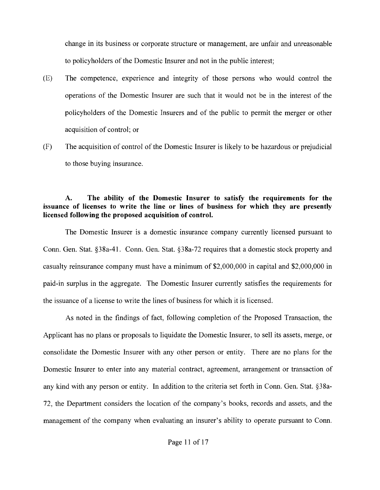change in its business or corporate structure or management, are unfair and unreasonable to policyholders of the Domestic Insurer and not in the public interest;

- (E) The competence, experience and integrity of those persons who would control the operations of the Domestic Insurer are such that it would not be in the interest of the policyholders of the Domestic Insurers and of the public to permit the merger or other acquisition of control; or
- (F) The acquisition of control of the Domestic Insurer is likely to be hazardous or prejudicial to those buying insurance.

### A. The ability of the Domestic Insurer to satisfy the requirements for the issuance of licenses to write the line or lines of business for which they are presently licensed following the proposed acquisition of control.

The Domestic Insurer is a domestic insurance company currently licensed pursuant to Conn. Gen. Stat. §38a-41. Conn. Gen. Stat. §38a-72 requires that a domestic stock property and casualty reinsurance company must have a minimum of \$2,000,000 in capital and \$2,000,000 in paid-in surplus in the aggregate. The Domestic Insurer currently satisfies the requirements for the issuance of a license to write the lines of business for which it is licensed.

As noted in the findings of fact, following completion of the Proposed Transaction, the Applicant has no plans or proposals to liquidate the Domestic Insurer, to sell its assets, merge, or consolidate the Domestic Insurer with any other person or entity. There are no plans for the Domestic Insurer to enter into any material contract, agreement, arrangement or transaction of any kind with any person or entity. In addition to the criteria set forth in Conn. Gen. Stat. §38a-72, the Department considers the location of the company's books, records and assets, and the management of the company when evaluating an insurer's ability to operate pursuant to Conn.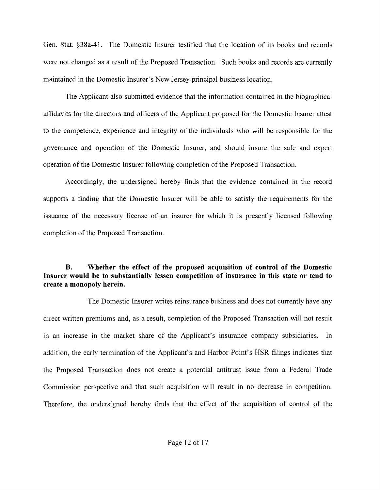Gen. Stat. §38a-41. The Domestic Insurer testified that the location of its books and records were not changed as a result of the Proposed Transaction. Such books and records are currently maintained in the Domestic Insurer's New Jersey principal business location.

The Applicant also submitted evidence that the information contained in the biographical affidavits for the directors and officers of the Applicant proposed for the Domestic Insurer attest to the competence, experience and integrity of the individuals who will be responsible for the governance and operation of the Domestic Insurer, and should insure the safe and expert operation of the Domestic Insurer following completion of the Proposed Transaction.

Accordingly, the undersigned hereby finds that the evidence contained in the record supports a finding that the Domestic Insurer will be able to satisfy the requirements for the issuance of the necessary license of an insurer for which it is presently licensed following completion of the Proposed Transaction.

## **B. Whether the effect of the proposed acquisition of control of the Domestic Insurer would be to substantially lessen competition of insurance in this state or tend to create a monopoly herein.**

The Domestic Insurer writes reinsurance business and does not currently have any direct written premiums and, as a result, completion of the Proposed Transaction will not result in an increase in the market share of the Applicant's insurance company subsidiaries. **In**  addition, the early termination of the Applicant's and Harbor Point's HSR filings indicates that the Proposed Transaction does not create a potential antitrust issue from a Federal Trade Commission perspective and that such acquisition will result in no decrease in competition. Therefore, the undersigned hereby finds that the effect of the acquisition of control of the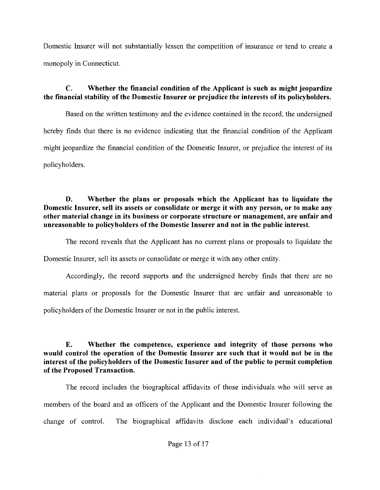Domestic Insurer will not substantially lessen the competition of insurance or tend to create a monopoly in Connecticut.

## C. Whether the financial condition of the Applicant is such as might jeopardize the financial stability of the Domestic Insurer or prejudice the interests of its policyholders.

Based on the written testimony and the evidence contained in the record, the undersigned hereby finds that there is no evidence indicating that the financial condition of the Applicant might jeopardize the financial condition of the Domestic Insurer, or prejudice the interest of its policyholders.

D. Whether the plans or proposals which the Applicant has to liquidate the Domestic Insurer, sell its assets or consolidate or merge it with any person, or to make any other material change in its business or corporate structure or management, are unfair and unreasonable to policyholders of the Domestic Insurer and not in the public interest.

The record reveals that the Applicant has no current plans or proposals to liquidate the Domestic Insurer, sell its assets or consolidate or merge it with any other entity.

Accordingly, the record supports and the undersigned hereby finds that there are no material plans or proposals for the Domestic Insurer that are unfair and unreasonable to policyholders of the Domestic Insurer or not in the public interest.

E. Whether the competence, experience and integrity of those persons who would control the operation of the Domestic Insurer are such that it would not be in the interest of the policyholders of the Domestic Insurer and of the public to permit completion of the Proposed Transaction.

The record includes the biographical affidavits of those individuals who will serve as members of the board and as officers of the Applicant and the Domestic Insurer following the change of control. The biographical affidavits disclose each individual's educational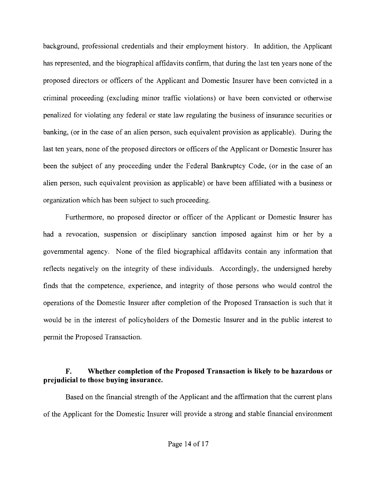background, professional credentials and their employment history. In addition, the Applicant has represented, and the biographical affidavits confirm, that during the last ten years none of the proposed directors or officers of the Applicant and Domestic Insurer have been convicted in a criminal proceeding (excluding minor traffic violations) or have been convicted or otherwise penalized for violating any federal or state law regulating the business of insurance securities or banking, (or in the case of an alien person, such equivalent provision as applicable). During the last ten years, none of the proposed directors or officers of the Applicant or Domestic Insurer has been the subject of any proceeding under the Federal Bankruptcy Code, (or in the case of an alien person, such equivalent provision as applicable) or have been affiliated with a business or organization which has been subject to such proceeding.

Furthermore, no proposed director or officer of the Applicant or Domestic Insurer has had a revocation, suspension or disciplinary sanction imposed against him or her by a governmental agency. None of the filed biographical affidavits contain any information that reflects negatively on the integrity of these individuals. Accordingly, the undersigned hereby finds that the competence, experience, and integrity of those persons who would control the operations of the Domestic Insurer after completion of the Proposed Transaction is such that it would be in the interest of policyholders of the Domestic Insurer and in the public interest to permit the Proposed Transaction.

## F. Whether completion of the Proposed Transaction is likely to be hazardous or prejudicial to those buying insurance.

Based on the financial strength of the Applicant and the affirmation that the current plans of the Applicant for the Domestic Insurer will provide a strong and stable financial environment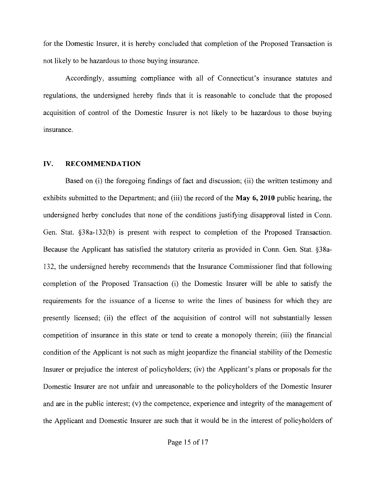for the Domestic Insurer, it is hereby concluded that completion of the Proposed Transaction is not likely to be hazardous to those buying insurance.

Accordingly, assuming compliance with all of Connecticut's insurance statutes and regulations, the undersigned hereby finds that it is reasonable to conclude that the proposed acquisition of control of the Domestic Insurer is not likely to be hazardous to those buying insurance.

#### IV. RECOMMENDATION

Based on (i) the foregoing findings of fact and discussion; (ii) the written testimony and exhibits submitted to the Department; and (iii) the record of the May 6, **2010** public hearing, the undersigned herby concludes that none of the conditions justifying disapproval listed in Conn. Gen. Stat. §38a-132(b) is present with respect to completion of the Proposed Transaction. Because the Applicant has satisfied the statutory criteria as provided in Conn. Gen. Stat. §38a-132, the undersigned hereby recommends that the Insurance Commissioner find that following completion of the Proposed Transaction (i) the Domestic Insurer will be able to satisfy the requirements for the issuance of a license to write the lines of business for which they are presently licensed; (ii) the effect of the acquisition of control will not substantially lessen competition of insurance in this state or tend to create a monopoly therein; (iii) the financial condition of the Applicant is not such as might jeopardize the financial stability of the Domestic Insurer or prejudice the interest of policyholders; (iv) the Applicant's plans or proposals for the Domestic Insurer are not unfair and unreasonable to the policyholders of the Domestic Insurer and are in the public interest; (v) the competence, experience and integrity of the management of the Applicant and Domestic Insurer are such that it would be in the interest of policyholders of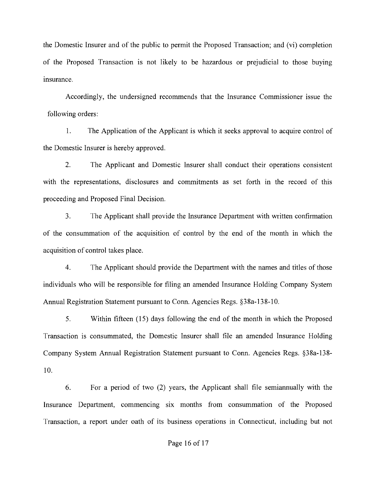the Domestic Insurer and of the public to permit the Proposed Transaction; and (vi) completion of the Proposed Transaction is not likely to be hazardous or prejudicial to those buying insurance.

Accordingly, the undersigned recommends that the Insurance Commissioner issue the following orders:

1. The Application of the Applicant is which it seeks approval to acquire control of the Domestic Insurer is hereby approved.

2. The Applicant and Domestic Insurer shall conduct their operations consistent with the representations, disclosures and commitments as set forth in the record of this proceeding and Proposed Final Decision.

3. The Applicant shall provide the Insurance Department with written confirmation of the consummation of the acquisition of control by the end of the month in which the acquisition of control takes place.

4. The Applicant should provide the Department with the names and titles of those individuals who will be responsible for filing an amended Insurance Holding Company System Annual Registration Statement pursuant to Conn. Agencies Regs. §38a-138-10.

5. Within fifteen (15) days following the end of the month in which the Proposed Transaction is consummated, the Domestic Insurer shall file an amended Insurance Holding Company System Annual Registration Statement pursuant to Conn. Agencies Regs. §38a-138 10.

6. For a period of two (2) years, the Applicant shall file semiannually with the Insurance Department, commencing six months from consummation of the Proposed Transaction, a report under oath of its business operations in Connecticut, including but not